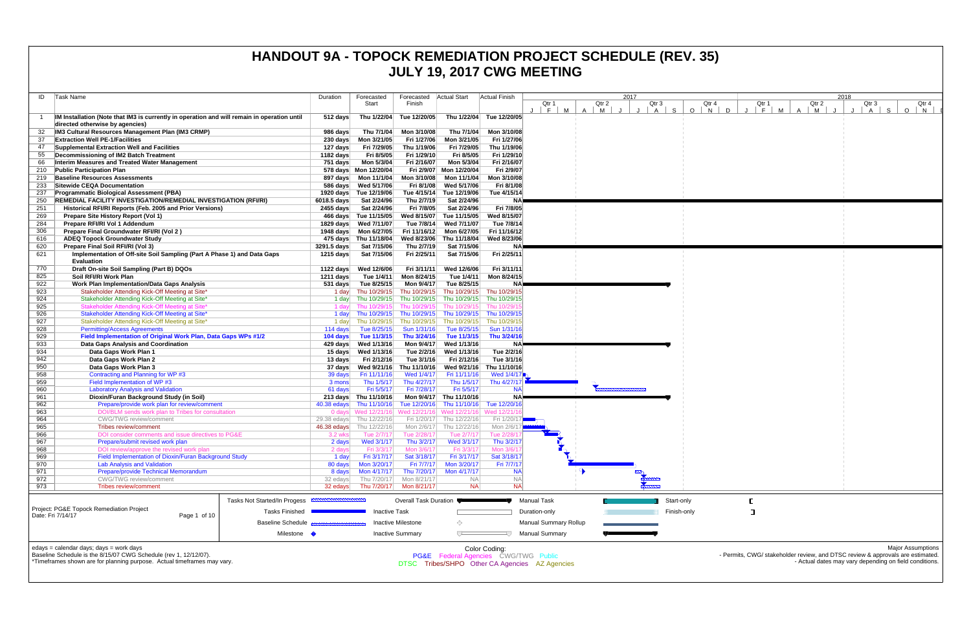|            |                                                                                                                                |                       |                                                   |                            |                                                                        |                            | <b>JULI 19, ZUIT UVVU IVILLI IINU</b>          |               |             |                         |                                      |                                                                                |         |                          |
|------------|--------------------------------------------------------------------------------------------------------------------------------|-----------------------|---------------------------------------------------|----------------------------|------------------------------------------------------------------------|----------------------------|------------------------------------------------|---------------|-------------|-------------------------|--------------------------------------|--------------------------------------------------------------------------------|---------|--------------------------|
|            |                                                                                                                                |                       |                                                   |                            |                                                                        |                            |                                                |               |             |                         |                                      |                                                                                |         |                          |
| ID         | Task Name                                                                                                                      | Duration              | Forecasted<br>Start                               | Forecasted<br>Finish       | <b>Actual Start</b>                                                    | Actual Finish              | Qtr 1                                          | 2017<br>Qtr 2 | Qtr 3       | Qtr 4                   | Qtr 1                                | 2018<br>Qtr 2                                                                  | Qtr 3   | Qtr 4                    |
|            | IM Installation (Note that IM3 is currently in operation and will remain in operation until<br>directed otherwise by agencies) | 512 days              | Thu 1/22/04                                       | Tue 12/20/05               |                                                                        | Thu 1/22/04 Tue 12/20/05   | $F$ M<br>$\mathsf{A}$                          | M             | $A \mid S$  | $\mathsf{D}$<br>$O$   N | M<br>$F \parallel$<br>$\blacksquare$ | M<br>$\overline{A}$                                                            | S.<br>A | $\circ$<br>N             |
|            | IM3 Cultural Resources Management Plan (IM3 CRMP)                                                                              | 986 days              | Thu 7/1/04                                        | Mon 3/10/08                | Thu 7/1/04                                                             | Mon 3/10/08                |                                                |               |             |                         |                                      |                                                                                |         |                          |
| 37         | <b>Extraction Well PE-1/Facilities</b>                                                                                         | 230 days              | Mon 3/21/05                                       | Fri 1/27/06                | Mon 3/21/05                                                            | Fri 1/27/06                |                                                |               |             |                         |                                      |                                                                                |         |                          |
| 47         | <b>Supplemental Extraction Well and Facilities</b>                                                                             | 127 days              | Fri 7/29/05                                       | Thu 1/19/06                | Fri 7/29/05                                                            | Thu 1/19/06                |                                                |               |             |                         |                                      |                                                                                |         |                          |
| 55<br>66   | Decommissioning of IM2 Batch Treatment<br>Interim Measures and Treated Water Management                                        | 1182 days<br>751 days | Fri 8/5/05<br>Mon 5/3/04                          | Fri 1/29/10<br>Fri 2/16/07 | Fri 8/5/05<br>Mon 5/3/04                                               | Fri 1/29/10<br>Fri 2/16/07 |                                                |               |             |                         |                                      |                                                                                |         |                          |
| 210        | <b>Public Participation Plan</b>                                                                                               |                       | 578 days Mon 12/20/04                             |                            | Fri 2/9/07 Mon 12/20/04                                                | Fri 2/9/07                 |                                                |               |             |                         |                                      |                                                                                |         |                          |
| 219        | <b>Baseline Resources Assessments</b>                                                                                          |                       |                                                   | Mon 3/10/08                | Mon 11/1/04                                                            | Mon 3/10/08                |                                                |               |             |                         |                                      |                                                                                |         |                          |
| 233        | Sitewide CEQA Documentation                                                                                                    |                       | 586 days Wed 5/17/06                              | Fri 8/1/08                 | Wed 5/17/06                                                            | Fri 8/1/08                 |                                                |               |             |                         |                                      |                                                                                |         |                          |
| 237        | <b>Programmatic Biological Assessment (PBA)</b>                                                                                |                       | 1920 days Tue 12/19/06                            |                            | Tue 4/15/14 Tue 12/19/06                                               | Tue 4/15/14                |                                                |               |             |                         |                                      |                                                                                |         |                          |
| 250        | <b>REMEDIAL FACILITY INVESTIGATION/REMEDIAL INVESTIGATION (RFI/RI)</b>                                                         | 6018.5 days           | Sat 2/24/96                                       | Thu 2/7/19                 | Sat 2/24/96                                                            |                            |                                                |               |             |                         |                                      |                                                                                |         |                          |
| 251<br>269 | Historical RFI/RI Reports (Feb. 2005 and Prior Versions)<br>Prepare Site History Report (Vol 1)                                |                       | 2455 days Sat 2/24/96<br>466 days Tue 11/15/05    | Fri 7/8/05<br>Wed 8/15/07  | Sat 2/24/96<br>Tue 11/15/05                                            | Fri 7/8/05<br>Wed 8/15/07  |                                                |               |             |                         |                                      |                                                                                |         |                          |
| 284        | Prepare RFI/RI Vol 1 Addendum                                                                                                  |                       | 1829 days Wed 7/11/07                             |                            | Tue 7/8/14 Wed 7/11/07                                                 | Tue 7/8/14                 |                                                |               |             |                         |                                      |                                                                                |         |                          |
| 306        | Prepare Final Groundwater RFI/RI (Vol 2)                                                                                       |                       |                                                   | Fri 11/16/12               | Mon 6/27/05                                                            | Fri 11/16/12               |                                                |               |             |                         |                                      |                                                                                |         |                          |
| 616        | <b>ADEQ Topock Groundwater Study</b>                                                                                           |                       | 475 days Thu 11/18/04                             | Wed 8/23/06                | Thu 11/18/04                                                           | Wed 8/23/06                |                                                |               |             |                         |                                      |                                                                                |         |                          |
| 620        | Prepare Final Soil RFI/RI (Vol 3)                                                                                              | 3291.5 days           | Sat 7/15/06                                       | Thu 2/7/19                 | Sat 7/15/06                                                            |                            |                                                |               |             |                         |                                      |                                                                                |         |                          |
| 621        | Implementation of Off-site Soil Sampling (Part A Phase 1) and Data Gaps<br><b>Evaluation</b>                                   | 1215 days             | Sat 7/15/06                                       | Fri 2/25/11                | Sat 7/15/06                                                            | Fri 2/25/11                |                                                |               |             |                         |                                      |                                                                                |         |                          |
| 770        | Draft On-site Soil Sampling (Part B) DQOs                                                                                      |                       | 1122 days Wed 12/6/06                             | Fri 3/11/11                | Wed 12/6/06                                                            | Fri 3/11/11                |                                                |               |             |                         |                                      |                                                                                |         |                          |
| 825        | Soil RFI/RI Work Plan                                                                                                          | 1211 days             | Tue 1/4/11                                        | Mon 8/24/15                | Tue 1/4/11                                                             | Mon 8/24/15                |                                                |               |             |                         |                                      |                                                                                |         |                          |
| 922<br>923 | <b>Work Plan Implementation/Data Gaps Analysis</b><br>Stakeholder Attending Kick-Off Meeting at Site*                          |                       | 531 days Tue 8/25/15                              |                            | Mon 9/4/17 Tue 8/25/15<br>1 day Thu 10/29/15 Thu 10/29/15 Thu 10/29/15 | Thu 10/29/15               |                                                |               |             |                         |                                      |                                                                                |         |                          |
| 924        | Stakeholder Attending Kick-Off Meeting at Site*                                                                                | 1 day                 | Thu 10/29/15                                      |                            | Thu 10/29/15 Thu 10/29/15                                              | Thu 10/29/15               |                                                |               |             |                         |                                      |                                                                                |         |                          |
| 925        | Stakeholder Attending Kick-Off Meeting at Site*                                                                                | 1 davl                | Thu 10/29/15                                      |                            | Thu 10/29/15 Thu 10/29/15                                              | Thu 10/29/                 |                                                |               |             |                         |                                      |                                                                                |         |                          |
| 926        | Stakeholder Attending Kick-Off Meeting at Site*                                                                                | 1 day                 |                                                   |                            | Thu 10/29/15 Thu 10/29/15 Thu 10/29/15 Thu 10/29/1                     |                            |                                                |               |             |                         |                                      |                                                                                |         |                          |
| 927        | Stakeholder Attending Kick-Off Meeting at Site*                                                                                |                       | 1 day Thu 10/29/15                                |                            | Thu 10/29/15 Thu 10/29/15                                              | Thu 10/29/1                |                                                |               |             |                         |                                      |                                                                                |         |                          |
| 928        | <b>Permitting/Access Agreements</b>                                                                                            | 114 days              | Tue 8/25/15                                       | Sun 1/31/16                | Tue 8/25/15                                                            | Sun 1/31/16                |                                                |               |             |                         |                                      |                                                                                |         |                          |
| 929        | Field Implementation of Original Work Plan, Data Gaps WPs #1/2                                                                 |                       | 104 days Tue 11/3/15                              | Thu 3/24/16                | Tue 11/3/15                                                            | Thu 3/24/1                 |                                                |               |             |                         |                                      |                                                                                |         |                          |
| 933<br>934 | Data Gaps Analysis and Coordination<br>Data Gaps Work Plan 1                                                                   |                       | 429 days Wed 1/13/16<br>15 days Wed 1/13/16       | Mon 9/4/17<br>Tue 2/2/16   | Wed 1/13/16<br>Wed 1/13/16                                             | ΝA<br>Tue 2/2/16           |                                                |               |             |                         |                                      |                                                                                |         |                          |
| 942        | Data Gaps Work Plan 2                                                                                                          | 13 days               | Fri 2/12/16                                       | Tue 3/1/16                 | Fri 2/12/16                                                            | Tue 3/1/16                 |                                                |               |             |                         |                                      |                                                                                |         |                          |
| 950        | Data Gaps Work Plan 3                                                                                                          |                       |                                                   |                            | Thu 11/10/16 Wed 9/21/16                                               | Thu 11/10/16               |                                                |               |             |                         |                                      |                                                                                |         |                          |
| 958        | Contracting and Planning for WP #3                                                                                             | 39 days               | Fri 11/11/16                                      | Wed 1/4/17                 | Fri 11/11/16                                                           | Wed 1/4/17 <sup>■</sup>    |                                                |               |             |                         |                                      |                                                                                |         |                          |
| 959        | Field Implementation of WP #3                                                                                                  | 3 mons                | Thu 1/5/17                                        | Thu 4/27/17                | Thu 1/5/17                                                             | Thu 4/27/1                 |                                                |               |             |                         |                                      |                                                                                |         |                          |
| 960        | <b>Laboratory Analysis and Validation</b>                                                                                      | 61 days               | Fri 5/5/17                                        | Fri 7/28/17                | Fri 5/5/17                                                             |                            |                                                |               |             |                         |                                      |                                                                                |         |                          |
| 961<br>962 | Dioxin/Furan Background Study (in Soil)                                                                                        |                       | 213 days Thu 11/10/16<br>40.38 edays Thu 11/10/16 |                            | Mon 9/4/17 Thu 11/10/16<br>Thu 11/10/16                                | <b>NA</b><br>Tue 12/20/16  |                                                |               |             |                         |                                      |                                                                                |         |                          |
| 963        | Prepare/provide work plan for review/comment<br>DOI/BLM sends work plan to Tribes for consultation                             |                       |                                                   | Tue 12/20/16               | 0 days Wed 12/21/16 Wed 12/21/16 Wed 12/21/16 Wed 12/21/               |                            |                                                |               |             |                         |                                      |                                                                                |         |                          |
| 964        | <b>CWG/TWG</b> review/comment                                                                                                  |                       | 29.38 edays Thu 12/22/16                          |                            | Fri 1/20/17 Thu 12/22/16                                               | Fri 1/20/17                |                                                |               |             |                         |                                      |                                                                                |         |                          |
| 965        | Tribes review/comment                                                                                                          |                       | 46.38 edays Thu 12/22/16                          |                            | Mon 2/6/17 Thu 12/22/16                                                | Mon 2/6/17                 |                                                |               |             |                         |                                      |                                                                                |         |                          |
| 966        | DOI consider comments and issue directives to PG&E                                                                             | 3.2 wks               | Tue 2/7/17                                        | Tue 2/28/17                | Tue 2/7/17                                                             | Tue 2/28/1                 |                                                |               |             |                         |                                      |                                                                                |         |                          |
| 967        | Prepare/submit revised work plan                                                                                               | 2 days                | Wed 3/1/17                                        | Thu 3/2/17                 | Wed 3/1/17                                                             | Thu 3/2/17                 |                                                |               |             |                         |                                      |                                                                                |         |                          |
| 968<br>969 | DOI review/approve the revised work plan<br>Field Implementation of Dioxin/Furan Background Study                              | 2 days<br>1 day       | Fri 3/3/17<br>Fri 3/17/17                         | Mon 3/6/17<br>Sat 3/18/17  | Fri 3/3/17<br>Fri 3/17/17                                              | Mon 3/6/11<br>Sat 3/18/17  |                                                |               |             |                         |                                      |                                                                                |         |                          |
| 970        | <b>Lab Analysis and Validation</b>                                                                                             | 80 days               | Mon 3/20/17                                       | Fri 7/7/17                 | Mon 3/20/17                                                            | Fri 7/7/17                 |                                                |               |             |                         |                                      |                                                                                |         |                          |
| 971        | Prepare/provide Technical Memorandum                                                                                           | 8 days                | Mon 4/17/17                                       | Thu 7/20/17                | Mon 4/17/17                                                            |                            |                                                |               |             |                         |                                      |                                                                                |         |                          |
| 972        | <b>CWG/TWG</b> review/comment                                                                                                  | 32 edays              | Thu 7/20/17                                       | Mon 8/21/17                | <b>NA</b>                                                              | <b>NA</b>                  |                                                |               |             |                         |                                      |                                                                                |         |                          |
| 973        | <b>Tribes review/comment</b>                                                                                                   | 32 edays              |                                                   | Thu 7/20/17 Mon 8/21/17    | <b>NA</b>                                                              | <b>NA</b>                  |                                                |               |             |                         |                                      |                                                                                |         |                          |
|            | Tasks Not Started/In Progess                                                                                                   |                       |                                                   | Overall Task Duration      |                                                                        |                            | <b>Manual Task</b>                             |               | Start-only  |                         |                                      |                                                                                |         |                          |
|            | Project: PG&E Topock Remediation Project                                                                                       |                       |                                                   |                            |                                                                        |                            |                                                |               |             |                         |                                      |                                                                                |         |                          |
|            | Tasks Finished<br>Date: Fri 7/14/17<br>Page 1 of 10                                                                            |                       | <b>Inactive Task</b>                              |                            |                                                                        |                            | Duration-only                                  |               | Finish-only |                         |                                      |                                                                                |         |                          |
|            | <b>Baseline Schedule</b>                                                                                                       |                       |                                                   | <b>Inactive Milestone</b>  |                                                                        |                            | <b>Manual Summary Rollup</b>                   |               |             |                         |                                      |                                                                                |         |                          |
|            | Milestone •                                                                                                                    |                       |                                                   | <b>Inactive Summary</b>    | $\sqrt{}$                                                              | 47.                        | <b>Manual Summary</b>                          |               |             |                         |                                      |                                                                                |         |                          |
|            | edays = calendar days; days = work days                                                                                        |                       |                                                   |                            |                                                                        | Color Coding:              |                                                |               |             |                         |                                      |                                                                                |         | <b>Major Assumptions</b> |
|            | Baseline Schedule is the 8/15/07 CWG Schedule (rev 1, 12/12/07).                                                               |                       |                                                   |                            | <b>PG&amp;E</b> Federal Agencies CWG/TWG Public                        |                            |                                                |               |             |                         |                                      | - Permits, CWG/ stakeholder review, and DTSC review & approvals are estimated. |         |                          |
|            | *Timeframes shown are for planning purpose. Actual timeframes may vary.                                                        |                       |                                                   |                            |                                                                        |                            | DTSC Tribes/SHPO Other CA Agencies AZ Agencies |               |             |                         |                                      | - Actual dates may vary depending on field conditions.                         |         |                          |
|            |                                                                                                                                |                       |                                                   |                            |                                                                        |                            |                                                |               |             |                         |                                      |                                                                                |         |                          |

## **HANDOUT 9A - TOPOCK REMEDIATION PROJECT SCHEDULE (REV. 35) JULY 19, 2017 CWG MEETING**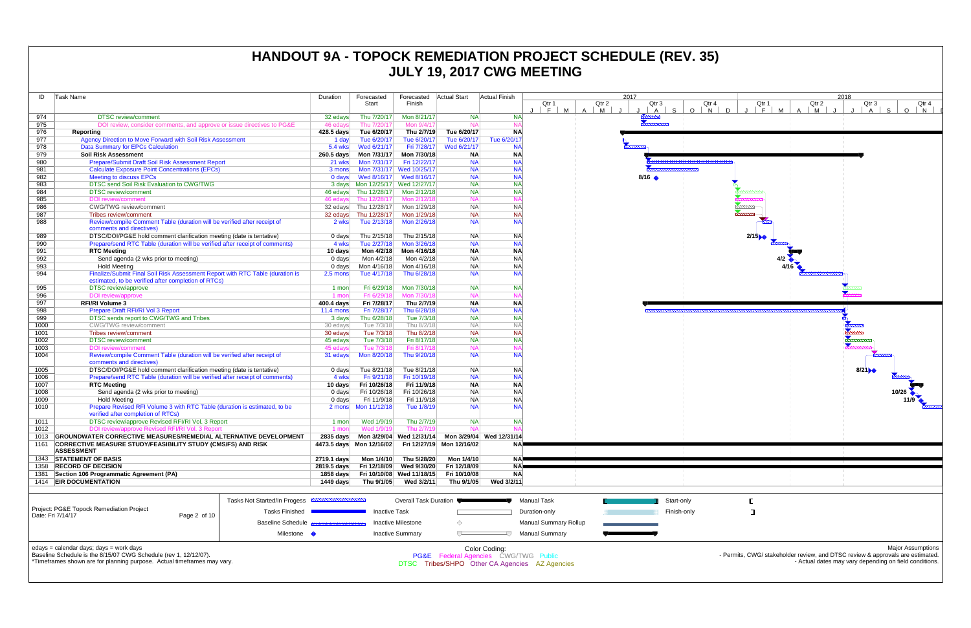| ID   | Task Name                                                                                            |                              | Duration                   | Forecasted                           | Forecasted                | Actual Start              | <b>Actual Finish</b>     |                              | 2017  |                             |              |
|------|------------------------------------------------------------------------------------------------------|------------------------------|----------------------------|--------------------------------------|---------------------------|---------------------------|--------------------------|------------------------------|-------|-----------------------------|--------------|
|      |                                                                                                      |                              |                            | Start                                | Finish                    |                           |                          | Qtr 1                        | Qtr 2 | Qtr 3                       | Qtr          |
|      |                                                                                                      |                              |                            |                                      |                           |                           |                          | M<br>$\overline{A}$<br>F.    | M     | $\mathsf{A}$                | S<br>$O$   N |
| 974  | <b>DTSC</b> review/comment                                                                           |                              | 32 edays                   | Thu 7/20/17                          | Mon 8/21/17               | <b>NA</b>                 | <b>NA</b>                |                              |       | <b><i><u>Parama</u></i></b> |              |
| 975  | DOI review, consider comments, and approve or issue directives to PG&E                               |                              | 46 edays                   | Thu 7/20/17                          | Mon 9/4/17                | <b>NA</b>                 | <b>NA</b>                |                              |       |                             |              |
| 976  | Reporting                                                                                            |                              | 428.5 days                 | Tue 6/20/17                          | Thu 2/7/19                | Tue 6/20/17               | <b>NA</b>                |                              |       |                             |              |
| 977  | Agency Direction to Move Forward with Soil Risk Assessment                                           |                              | 1 day                      | Tue 6/20/17                          | Tue 6/20/17               | Tue 6/20/17               | Tue 6/20/17              |                              |       |                             |              |
| 978  | <b>Data Summary for EPCs Calculation</b>                                                             |                              | 5.4 wks                    | Wed 6/21/17                          | Fri 7/28/17               | Wed 6/21/17               | <b>NA</b>                |                              |       |                             |              |
| 979  | <b>Soil Risk Assessment</b>                                                                          |                              | 260.5 days                 | Mon 7/31/17                          | Mon 7/30/18               | <b>NA</b>                 | <b>NA</b>                |                              |       |                             |              |
| 980  | Prepare/Submit Draft Soil Risk Assessment Report                                                     |                              | 21 wks                     | Mon 7/31/17                          | Fri 12/22/17              | <b>NA</b>                 | <b>NA</b>                |                              |       |                             |              |
| 981  | <b>Calculate Exposure Point Concentrations (EPCs)</b>                                                |                              | 3 mons                     |                                      | Mon 7/31/17 Wed 10/25/17  | <b>NA</b>                 | <b>NA</b>                |                              |       |                             |              |
| 982  | <b>Meeting to discuss EPCs</b>                                                                       |                              | $0$ days                   | Wed 8/16/17                          | Wed 8/16/17               | <b>NA</b>                 | <b>NA</b>                |                              |       | $8/16$ $\triangle$          |              |
| 983  | DTSC send Soil Risk Evaluation to CWG/TWG                                                            |                              |                            | 3 days   Mon 12/25/17   Wed 12/27/17 |                           | <b>NA</b>                 | <b>NA</b>                |                              |       |                             |              |
| 984  | <b>DTSC</b> review/comment                                                                           |                              | 46 edays                   | Thu 12/28/17                         | Mon 2/12/18               | <b>NA</b>                 | <b>NA</b>                |                              |       |                             |              |
| 985  | <b>DOI</b> review/comment                                                                            |                              | 46 edays                   | Thu 12/28/17                         | Mon 2/12/18               | <b>NA</b>                 | <b>NA</b>                |                              |       |                             |              |
| 986  | <b>CWG/TWG</b> review/comment                                                                        |                              |                            | 32 edays Thu 12/28/17                | Mon 1/29/18               | <b>NA</b>                 | <b>NA</b>                |                              |       |                             |              |
| 987  |                                                                                                      |                              |                            | Thu 12/28/17                         | Mon 1/29/18               | <b>NA</b>                 | <b>NA</b>                |                              |       |                             |              |
|      | Tribes review/comment                                                                                |                              | 32 edays                   |                                      |                           |                           | <b>NA</b>                |                              |       |                             |              |
| 988  | Review/compile Comment Table (duration will be verified after receipt of<br>comments and directives) |                              | 2 wks                      | Tue 2/13/18                          | Mon 2/26/18               | <b>NA</b>                 |                          |                              |       |                             |              |
| 989  |                                                                                                      |                              |                            |                                      |                           | <b>NA</b>                 | <b>NA</b>                |                              |       |                             |              |
| 990  | DTSC/DOI/PG&E hold comment clarification meeting (date is tentative)                                 |                              | 0 days                     | Thu 2/15/18                          | Thu 2/15/18               | <b>NA</b>                 |                          |                              |       |                             |              |
|      | Prepare/send RTC Table (duration will be verified after receipt of comments)                         |                              | 4 wks                      | Tue 2/27/18                          | Mon 3/26/18               |                           | <b>NA</b>                |                              |       |                             |              |
| 991  | <b>RTC Meeting</b>                                                                                   |                              | 10 days                    | Mon 4/2/18                           | Mon 4/16/18               | <b>NA</b>                 | <b>NA</b>                |                              |       |                             |              |
| 992  | Send agenda (2 wks prior to meeting)                                                                 |                              | $0$ days                   | Mon 4/2/18                           | Mon 4/2/18                | <b>NA</b>                 | <b>NA</b>                |                              |       |                             |              |
| 993  | <b>Hold Meeting</b>                                                                                  |                              | $0$ days                   | Mon 4/16/18                          | Mon 4/16/18               | <b>NA</b>                 | <b>NA</b>                |                              |       |                             |              |
| 994  | Finalize/Submit Final Soil Risk Assessment Report with RTC Table (duration is                        |                              | $2.5 \text{ mon}$          | Tue 4/17/18                          | Thu 6/28/18               | <b>NA</b>                 | <b>NA</b>                |                              |       |                             |              |
|      | estimated, to be verified after completion of RTCs)                                                  |                              |                            |                                      |                           |                           |                          |                              |       |                             |              |
| 995  | <b>DTSC</b> review/approve                                                                           |                              | 1 mon                      | Fri 6/29/18                          | Mon 7/30/18               | <b>NA</b>                 | <b>NA</b>                |                              |       |                             |              |
| 996  | DOI review/approve                                                                                   |                              | 1 mon                      | Fri 6/29/18                          | Mon 7/30/18               | <b>NA</b>                 | <b>NA</b>                |                              |       |                             |              |
| 997  | <b>RFI/RI Volume 3</b>                                                                               |                              | 400.4 days                 | Fri 7/28/17                          | Thu 2/7/19                | <b>NA</b>                 | <b>NA</b>                |                              |       |                             |              |
| 998  | Prepare Draft RFI/RI Vol 3 Report                                                                    |                              | <b>11.4 mons</b>           | Fri 7/28/17                          | Thu 6/28/18               | <b>NA</b>                 | <b>NA</b>                |                              |       |                             |              |
| 999  | DTSC sends report to CWG/TWG and Tribes                                                              |                              | 3 days                     | Thu 6/28/18                          | Tue 7/3/18                | <b>NA</b>                 | <b>NA</b>                |                              |       |                             |              |
| 1000 | <b>CWG/TWG</b> review/comment                                                                        |                              | 30 edays                   | Tue 7/3/18                           | Thu 8/2/18                | <b>NA</b>                 | <b>NA</b>                |                              |       |                             |              |
| 1001 | Tribes review/comment                                                                                |                              | 30 edays                   | Tue 7/3/18                           | Thu 8/2/18                | <b>NA</b>                 | <b>NA</b>                |                              |       |                             |              |
| 1002 | <b>DTSC</b> review/comment                                                                           |                              | 45 edays                   | Tue 7/3/18                           | Fri 8/17/18               | <b>NA</b>                 | <b>NA</b>                |                              |       |                             |              |
| 1003 | <b>DOI</b> review/comment                                                                            |                              | 45 edays                   | Tue 7/3/18                           | Fri 8/17/18               | <b>NA</b>                 | <b>NA</b>                |                              |       |                             |              |
| 1004 | Review/compile Comment Table (duration will be verified after receipt of                             |                              | 31 edays                   | Mon 8/20/18                          | Thu 9/20/18               | <b>NA</b>                 | <b>NA</b>                |                              |       |                             |              |
|      | comments and directives)                                                                             |                              |                            |                                      |                           |                           |                          |                              |       |                             |              |
| 1005 | DTSC/DOI/PG&E hold comment clarification meeting (date is tentative)                                 |                              | $0$ days                   | Tue 8/21/18                          | Tue 8/21/18               | <b>NA</b>                 | <b>NA</b>                |                              |       |                             |              |
| 1006 | Prepare/send RTC Table (duration will be verified after receipt of comments)                         |                              | 4 wks                      | Fri 9/21/18                          | Fri 10/19/18              | <b>NA</b>                 | <b>NA</b>                |                              |       |                             |              |
| 1007 | <b>RTC Meeting</b>                                                                                   |                              | 10 days                    | Fri 10/26/18                         | Fri 11/9/18               | <b>NA</b>                 | <b>NA</b>                |                              |       |                             |              |
| 1008 | Send agenda (2 wks prior to meeting)                                                                 |                              | $0$ days                   | Fri 10/26/18                         | Fri 10/26/18              | <b>NA</b>                 | <b>NA</b>                |                              |       |                             |              |
| 1009 | <b>Hold Meeting</b>                                                                                  |                              | 0 days                     | Fri 11/9/18                          | Fri 11/9/18               | <b>NA</b>                 | <b>NA</b>                |                              |       |                             |              |
| 1010 | Prepare Revised RFI Volume 3 with RTC Table (duration is estimated, to be                            |                              |                            |                                      | Tue 1/8/19                | <b>NA</b>                 | <b>NA</b>                |                              |       |                             |              |
|      | verified after completion of RTCs)                                                                   |                              |                            |                                      |                           |                           |                          |                              |       |                             |              |
| 1011 | DTSC review/approve Revised RFI/RI Vol. 3 Report                                                     |                              | 1 mon                      | Wed 1/9/19                           | Thu 2/7/19                | <b>NA</b>                 | <b>NA</b>                |                              |       |                             |              |
| 1012 | DOI review/approve Revised RFI/RI Vol. 3 Report                                                      |                              | 1 mon                      | Wed 1/9/19                           | Thu 2/7/19                | <b>NA</b>                 | <b>NA</b>                |                              |       |                             |              |
| 1013 | <b>GROUNDWATER CORRECTIVE MEASURES/REMEDIAL ALTERNATIVE DEVELOPMENT</b>                              |                              | $2835$ days                | Mon 3/29/04                          | Wed 12/31/14              |                           | Mon 3/29/04 Wed 12/31/14 |                              |       |                             |              |
| 1161 | CORRECTIVE MEASURE STUDY/FEASIBILITY STUDY (CMS/FS) AND RISK                                         |                              |                            | 4473.5 days Mon 12/16/02             |                           | Fri 12/27/19 Mon 12/16/02 | <b>NA</b>                |                              |       |                             |              |
|      | <b>ASSESSMENT</b>                                                                                    |                              |                            |                                      |                           |                           |                          |                              |       |                             |              |
|      | 1343 STATEMENT OF BASIS                                                                              |                              |                            | Mon 1/4/10                           |                           | Mon 1/4/10                | <b>NA</b>                |                              |       |                             |              |
|      | <b>RECORD OF DECISION</b>                                                                            |                              | 2719.1 days<br>2819.5 days | Fri 12/18/09                         | Thu 5/28/20               | Fri 12/18/09              | <b>NA</b>                |                              |       |                             |              |
| 1358 |                                                                                                      |                              |                            |                                      | Wed 9/30/20               |                           |                          |                              |       |                             |              |
| 1381 | Section 106 Programmatic Agreement (PA)                                                              |                              | 1858 days                  | Fri 10/10/08                         | Wed 11/18/15              | Fri 10/10/08              | <b>NA</b>                |                              |       |                             |              |
|      | 1414 EIR DOCUMENTATION                                                                               |                              | 1449 days                  | Thu 9/1/05                           | Wed 3/2/11                | Thu 9/1/05                | Wed 3/2/11               |                              |       |                             |              |
|      |                                                                                                      |                              |                            |                                      |                           |                           |                          |                              |       |                             |              |
|      |                                                                                                      | Tasks Not Started/In Progess | <b>MANUFACTURER (1977)</b> |                                      | Overall Task Duration     |                           |                          | <b>Manual Task</b>           |       |                             | Start-only   |
|      | Project: PG&E Topock Remediation Project                                                             |                              |                            |                                      |                           |                           |                          |                              |       |                             |              |
|      | Date: Fri 7/14/17<br>Page 2 of 10                                                                    | <b>Tasks Finished</b>        |                            | <b>Inactive Task</b>                 |                           |                           |                          | Duration-only                |       |                             | Finish-only  |
|      |                                                                                                      | <b>Baseline Schedule</b>     |                            |                                      | <b>Inactive Milestone</b> | ◇                         |                          | <b>Manual Summary Rollup</b> |       |                             |              |
|      |                                                                                                      |                              |                            |                                      |                           |                           |                          |                              |       |                             |              |
|      |                                                                                                      | Milestone •                  |                            |                                      | <b>Inactive Summary</b>   | $\overline{\smash{C}}$    |                          | <b>Manual Summary</b>        |       |                             |              |

## **HANDOUT 9A - TOPOCK REMEDIATION PROJECT SCHEDULE (REV. 35) JULY 19, 2017 CWG MEETING**

edays = calendar days; days = work days



Baseline Schedule is the 8/15/07 CWG Schedule (rev 1, 12/12/07).

\*Timeframes shown are for planning purpose. Actual timeframes may vary.

Color Coding: PG&E Federal Agencies CWG/TWG Public DTSC Tribes/SHPO Other CA Agencies AZ Agencies

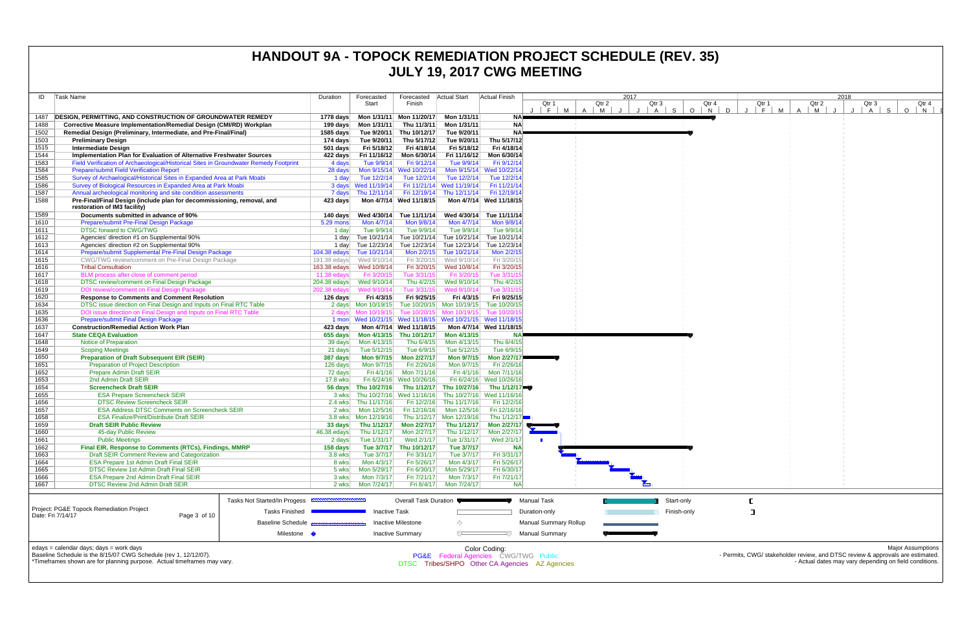| ID           | Task Name                                                                                                                                | Duration                                           | Forecasted                               | Forecasted                              | <b>Actual Start</b>                                       | Actual Finish                                                          |                                                | 2017            |                       |             |       |                      |                                                                                | 2018  |               |                          |
|--------------|------------------------------------------------------------------------------------------------------------------------------------------|----------------------------------------------------|------------------------------------------|-----------------------------------------|-----------------------------------------------------------|------------------------------------------------------------------------|------------------------------------------------|-----------------|-----------------------|-------------|-------|----------------------|--------------------------------------------------------------------------------|-------|---------------|--------------------------|
|              |                                                                                                                                          |                                                    | Start                                    | Finish                                  |                                                           |                                                                        | Qtr 1                                          | Qtr 2           | Qtr 3                 |             | Qtr 4 | Qtr 1                | Qtr 2                                                                          | Qtr 3 |               | Qtr 4                    |
| 1487         | DESIGN, PERMITTING, AND CONSTRUCTION OF GROUNDWATER REMEDY                                                                               |                                                    | 1778 days    Mon 1/31/11    Mon 11/20/17 |                                         | Mon 1/31/11                                               | NA⊫                                                                    | F <br><b>M</b><br>$\mathsf{A}$                 | $\vert$ M<br>J. | $A$ S<br>$\mathbf{J}$ | $O$ N       | D     | $F \cup$<br><b>M</b> | M<br>A                                                                         | A     | S.<br>$\circ$ | N                        |
| 1488         | Corrective Measure Implementation/Remedial Design (CMI/RD) Workplan                                                                      |                                                    | 199 days    Mon 1/31/11                  | Thu 11/3/11                             | Mon 1/31/11                                               | <b>NA</b>                                                              |                                                |                 |                       |             |       |                      |                                                                                |       |               |                          |
| 1502         | Remedial Design (Preliminary, Intermediate, and Pre-Final/Final)                                                                         | 1585 days                                          | Tue 9/20/11                              | Thu 10/12/17                            | Tue 9/20/11                                               | <b>NA</b>                                                              |                                                |                 |                       |             |       |                      |                                                                                |       |               |                          |
| 1503         | <b>Preliminary Design</b>                                                                                                                | 174 days                                           | Tue 9/20/11                              | Thu 5/17/12                             | Tue 9/20/11                                               | Thu 5/17/12                                                            |                                                |                 |                       |             |       |                      |                                                                                |       |               |                          |
| 1515         | <b>Intermediate Design</b><br>Implementation Plan for Evaluation of Alternative Freshwater Sources                                       | $501$ days                                         | Fri 5/18/12                              | Fri 4/18/14                             | Fri 5/18/12<br>Fri 11/16/12                               | Fri 4/18/14<br>Mon 6/30/14                                             |                                                |                 |                       |             |       |                      |                                                                                |       |               |                          |
| 1544<br>1583 | Field Verification of Archaeological/Historical Sites in Groundwater Remedy Footprint                                                    | 4 days                                             | 422 days Fri 11/16/12<br>Tue 9/9/14      | Mon 6/30/14<br>Fri 9/12/14              | Tue 9/9/14                                                | Fri 9/12/14                                                            |                                                |                 |                       |             |       |                      |                                                                                |       |               |                          |
| 1584         | <b>Prepare/submit Field Verification Report</b>                                                                                          | 28 days                                            |                                          | Mon 9/15/14 Wed 10/22/14                |                                                           | Mon 9/15/14 Wed 10/22/14                                               |                                                |                 |                       |             |       |                      |                                                                                |       |               |                          |
| 1585         | Survey of Archaelogical/Historical Sites in Expanded Area at Park Moabi                                                                  | 1 day                                              | Tue 12/2/14                              | Tue 12/2/14                             | Tue 12/2/14                                               | Tue 12/2/14                                                            |                                                |                 |                       |             |       |                      |                                                                                |       |               |                          |
| 1586         | Survey of Biological Resources in Expanded Area at Park Moabi                                                                            |                                                    | 3 days Wed 11/19/14                      |                                         | Fri 11/21/14 Wed 11/19/14                                 | Fri 11/21/14                                                           |                                                |                 |                       |             |       |                      |                                                                                |       |               |                          |
| 1587<br>1588 | Annual archeological monitoring and site condition assessments<br>Pre-Final/Final Design (include plan for decommissioning, removal, and |                                                    | 7 days Thu 12/11/14                      | Mon 4/7/14 Wed 11/18/15                 | Fri 12/19/14 Thu 12/11/14                                 | Fri 12/19/14<br>Mon 4/7/14 Wed 11/18/15                                |                                                |                 |                       |             |       |                      |                                                                                |       |               |                          |
|              | restoration of IM3 facility)                                                                                                             | 423 days                                           |                                          |                                         |                                                           |                                                                        |                                                |                 |                       |             |       |                      |                                                                                |       |               |                          |
| 1589         | Documents submitted in advance of 90%                                                                                                    |                                                    | 140 days Wed 4/30/14 Tue 11/11/14        |                                         | Wed 4/30/14                                               | Tue 11/11/14                                                           |                                                |                 |                       |             |       |                      |                                                                                |       |               |                          |
| 1610         | Prepare/submit Pre-Final Design Package                                                                                                  | 5.29 mons                                          | Mon 4/7/14                               | Mon 9/8/14                              | Mon 4/7/14                                                | Mon 9/8/14                                                             |                                                |                 |                       |             |       |                      |                                                                                |       |               |                          |
| 1611         | <b>DTSC forward to CWG/TWG</b>                                                                                                           | 1 day                                              | Tue 9/9/14                               | Tue 9/9/14                              | Tue 9/9/14                                                | Tue 9/9/14                                                             |                                                |                 |                       |             |       |                      |                                                                                |       |               |                          |
| 1612<br>1613 | Agencies' direction #1 on Supplemental 90%<br>Agencies' direction #2 on Supplemental 90%                                                 | 1 day<br>1 day                                     |                                          |                                         | Tue 12/23/14 Tue 12/23/14 Tue 12/23/14                    | Tue 10/21/14 Tue 10/21/14 Tue 10/21/14 Tue 10/21/14<br>Tue 12/23/14    |                                                |                 |                       |             |       |                      |                                                                                |       |               |                          |
| 1614         | Prepare/submit Supplemental Pre-Final Design Package                                                                                     |                                                    | 104.38 edays Tue 10/21/14                |                                         | Mon 2/2/15 Tue 10/21/14                                   | Mon 2/2/1                                                              |                                                |                 |                       |             |       |                      |                                                                                |       |               |                          |
| 1615         | CWG/TWG review/comment on Pre-Final Design Package                                                                                       |                                                    | 191.38 edays Wed 9/10/14                 | Fri 3/20/15                             | Wed 9/10/14                                               | Fri 3/20/1                                                             |                                                |                 |                       |             |       |                      |                                                                                |       |               |                          |
| 1616         | <b>Tribal Consultation</b>                                                                                                               |                                                    |                                          | Fri 3/20/15                             | Wed 10/8/14                                               | Fri 3/20/15                                                            |                                                |                 |                       |             |       |                      |                                                                                |       |               |                          |
| 1617         | BLM process after close of comment period                                                                                                | 11.38 $edavs$                                      | Fri 3/20/15                              | Tue 3/31/15                             | Fri 3/20/15                                               | Tue 3/31/                                                              |                                                |                 |                       |             |       |                      |                                                                                |       |               |                          |
| 1618<br>1619 | DTSC review/comment on Final Design Package<br>DOI review/comment on Final Design Package                                                |                                                    | 202.38 edays Wed 9/10/14                 | Thu 4/2/15<br>Tue 3/31/15               | Wed 9/10/14<br>Wed 9/10/14                                | Thu 4/2/15<br>Tue 3/31/                                                |                                                |                 |                       |             |       |                      |                                                                                |       |               |                          |
| 1620         | <b>Response to Comments and Comment Resolution</b>                                                                                       | 126 days                                           | Fri 4/3/15                               | Fri 9/25/15                             | Fri 4/3/15                                                | Fri 9/25/15                                                            |                                                |                 |                       |             |       |                      |                                                                                |       |               |                          |
| 1634         | DTSC issue direction on Final Design and Inputs on Final RTC Table                                                                       |                                                    | 2 days Mon 10/19/15                      |                                         | Tue 10/20/15 Mon 10/19/15                                 | Tue 10/20/1                                                            |                                                |                 |                       |             |       |                      |                                                                                |       |               |                          |
| 1635         | DOI issue direction on Final Design and Inputs on Final RTC Table                                                                        |                                                    | 2 days Mon 10/19/15                      |                                         | Tue 10/20/15 Mon 10/19/15                                 | Tue 10/20/                                                             |                                                |                 |                       |             |       |                      |                                                                                |       |               |                          |
| 1636         | <b>Prepare/submit Final Design Package</b>                                                                                               |                                                    |                                          |                                         | 1 mon Wed 10/21/15 Wed 11/18/15 Wed 10/21/15 Wed 11/18/15 |                                                                        |                                                |                 |                       |             |       |                      |                                                                                |       |               |                          |
| 1637<br>1647 | <b>Construction/Remedial Action Work Plan</b><br><b>State CEQA Evaluation</b>                                                            | 423 davs                                           |                                          | Mon 4/7/14 Wed 11/18/15                 | 655 days    Mon 4/13/15    Thu 10/12/17    Mon 4/13/15    | Mon 4/7/14 Wed 11/18/15                                                |                                                |                 |                       |             |       |                      |                                                                                |       |               |                          |
| 1648         | Notice of Preparation                                                                                                                    | 39 days                                            | Mon 4/13/15                              | Thu 6/4/15                              | Mon 4/13/15                                               | Thu 6/4/15                                                             |                                                |                 |                       |             |       |                      |                                                                                |       |               |                          |
| 1649         | <b>Scoping Meetings</b>                                                                                                                  | 21 days                                            | Tue 5/12/15                              | Tue 6/9/15                              | Tue 5/12/15                                               | Tue 6/9/15                                                             |                                                |                 |                       |             |       |                      |                                                                                |       |               |                          |
| 1650         | <b>Preparation of Draft Subsequent EIR (SEIR)</b>                                                                                        | 387 days                                           | Mon 9/7/15                               | <b>Mon 2/27/17</b>                      | <b>Mon 9/7/15</b>                                         | Mon 2/27/17                                                            |                                                |                 |                       |             |       |                      |                                                                                |       |               |                          |
| 1651         | <b>Preparation of Project Description</b>                                                                                                | 126 days                                           | Mon 9/7/15                               | Fri 2/26/16                             | Mon 9/7/15                                                | Fri 2/26/16<br>Fri 4/1/16 Mon 7/11/16                                  |                                                |                 |                       |             |       |                      |                                                                                |       |               |                          |
| 1652<br>1653 | <b>Prepare Admin Draft SEIR</b><br>2nd Admin Draft SEIR                                                                                  | 72 days<br>17.8 wks                                | Fri 4/1/16                               | Mon 7/11/16<br>Fri 6/24/16 Wed 10/26/16 |                                                           | Fri 6/24/16 Wed 10/26/16                                               |                                                |                 |                       |             |       |                      |                                                                                |       |               |                          |
| 1654         | <b>Screencheck Draft SEIR</b>                                                                                                            |                                                    | 56 days Thu 10/27/16                     |                                         | Thu 1/12/17 Thu 10/27/16                                  | Thu 1/12/17                                                            |                                                |                 |                       |             |       |                      |                                                                                |       |               |                          |
| 1655         | <b>ESA Prepare Screencheck SEIR</b>                                                                                                      |                                                    |                                          |                                         |                                                           | 3 wks Thu 10/27/16 Wed 11/16/16 Thu 10/27/16 Wed 11/16/16              |                                                |                 |                       |             |       |                      |                                                                                |       |               |                          |
| 1656         | <b>DTSC Review Screencheck SEIR</b>                                                                                                      | 2.4 wks                                            | Thu 11/17/16                             | Fri 12/2/16                             | Thu 11/17/16                                              | Fri 12/2/16                                                            |                                                |                 |                       |             |       |                      |                                                                                |       |               |                          |
| 1657<br>1658 | <b>ESA Address DTSC Comments on Screencheck SEIR</b><br><b>ESA Finalize/Print/Distribute Draft SEIR</b>                                  | 2 wks                                              | Mon 12/5/16<br>3.8 wks   Mon 12/19/16    |                                         | Fri 12/16/16 Mon 12/5/16<br>Thu 1/12/17 Mon 12/19/16      | Fri 12/16/16                                                           |                                                |                 |                       |             |       |                      |                                                                                |       |               |                          |
| 1659         | <b>Draft SEIR Public Review</b>                                                                                                          |                                                    |                                          |                                         |                                                           | Thu 1/12/17<br>33 days Thu 1/12/17 Mon 2/27/17 Thu 1/12/17 Mon 2/27/17 |                                                |                 |                       |             |       |                      |                                                                                |       |               |                          |
| 1660         | 45-day Public Review                                                                                                                     | 46.38 edays                                        | Thu $1/12/17$                            | Mon 2/27/17                             | Thu 1/12/17                                               | Mon 2/27/17                                                            |                                                |                 |                       |             |       |                      |                                                                                |       |               |                          |
| 1661         | <b>Public Meetings</b>                                                                                                                   | 2 days                                             | Tue 1/31/17                              | Wed 2/1/17                              | Tue 1/31/17                                               | Wed 2/1/17                                                             |                                                |                 |                       |             |       |                      |                                                                                |       |               |                          |
| 1662         | Final EIR, Response to Comments (RTCs), Findings, MMRP                                                                                   | 158 days                                           | Tue 3/7/17                               | Thu 10/12/17                            | Tue 3/7/17                                                | <b>NA</b>                                                              |                                                |                 |                       |             |       |                      |                                                                                |       |               |                          |
| 1663<br>1664 | Draft SEIR Comment Review and Categorization<br>ESA Prepare 1st Admin Draft Final SEIR                                                   | 3.8 wks<br>8 wks                                   | Tue 3/7/17<br>Mon 4/3/17                 | Fri 3/31/17<br>Fri 5/26/17              | Tue 3/7/17<br>Mon 4/3/17                                  | Fri 3/31/17<br>Fri 5/26/17                                             |                                                |                 |                       |             |       |                      |                                                                                |       |               |                          |
| 1665         | <b>DTSC Review 1st Admin Draft Final SEIR</b>                                                                                            | 5 wks                                              | Mon 5/29/17                              | Fri 6/30/17                             | Mon 5/29/17                                               | Fri 6/30/17                                                            |                                                |                 |                       |             |       |                      |                                                                                |       |               |                          |
| 1666         | <b>ESA Prepare 2nd Admin Draft Final SEIR</b>                                                                                            | 3 wks                                              | Mon 7/3/17                               | Fri 7/21/17                             | Mon 7/3/17                                                | Fri 7/21/17                                                            |                                                |                 |                       |             |       |                      |                                                                                |       |               |                          |
| 1667         | <b>DTSC Review 2nd Admin Draft SEIR</b>                                                                                                  | 2 wks                                              | Mon 7/24/17                              |                                         | Fri 8/4/17 Mon 7/24/17                                    | <b>NA</b>                                                              |                                                |                 |                       |             |       |                      |                                                                                |       |               |                          |
|              |                                                                                                                                          | <b>MMMMMMMMMMM</b><br>Tasks Not Started/In Progess |                                          |                                         |                                                           |                                                                        |                                                |                 |                       | Start-only  |       |                      |                                                                                |       |               |                          |
|              | Project: PG&E Topock Remediation Project                                                                                                 |                                                    |                                          | <b>Overall Task Duration</b>            |                                                           |                                                                        | Manual Task                                    |                 |                       |             |       |                      |                                                                                |       |               |                          |
|              | Date: Fri 7/14/17<br>Page 3 of 10                                                                                                        | <b>Tasks Finished</b>                              | <b>Inactive Task</b>                     |                                         |                                                           |                                                                        | Duration-only                                  |                 |                       | Finish-only |       | ा                    |                                                                                |       |               |                          |
|              |                                                                                                                                          | <b>Baseline Schedule</b>                           |                                          | Inactive Milestone                      | ◇                                                         |                                                                        | <b>Manual Summary Rollup</b>                   |                 |                       |             |       |                      |                                                                                |       |               |                          |
|              |                                                                                                                                          | Milestone •                                        |                                          | <b>Inactive Summary</b>                 | ᅮ                                                         |                                                                        | <b>Manual Summary</b>                          |                 |                       |             |       |                      |                                                                                |       |               |                          |
|              | edays = calendar days; days = work days                                                                                                  |                                                    |                                          |                                         |                                                           |                                                                        |                                                |                 |                       |             |       |                      |                                                                                |       |               | <b>Major Assumptions</b> |
|              | Baseline Schedule is the 8/15/07 CWG Schedule (rev 1, 12/12/07).                                                                         |                                                    |                                          |                                         |                                                           | Color Coding:<br><b>PG&amp;E</b> Federal Agencies CWG/TWG Public       |                                                |                 |                       |             |       |                      | - Permits, CWG/ stakeholder review, and DTSC review & approvals are estimated. |       |               |                          |
|              | *Timeframes shown are for planning purpose. Actual timeframes may vary.                                                                  |                                                    |                                          |                                         |                                                           |                                                                        | DTSC Tribes/SHPO Other CA Agencies AZ Agencies |                 |                       |             |       |                      | - Actual dates may vary depending on field conditions.                         |       |               |                          |
|              |                                                                                                                                          |                                                    |                                          |                                         |                                                           |                                                                        |                                                |                 |                       |             |       |                      |                                                                                |       |               |                          |

## **HANDOUT 9A - TOPOCK REMEDIATION PROJECT SCHEDULE (REV. 35) JULY 19, 2017 CWG MEETING**